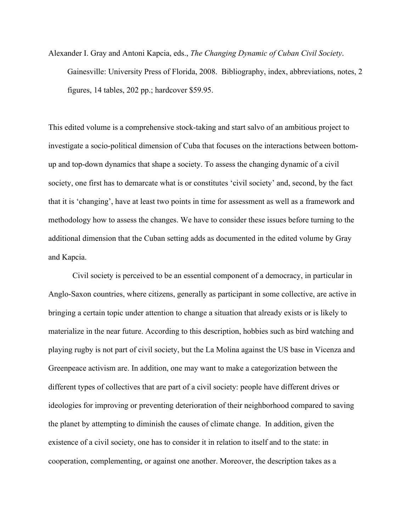Alexander I. Gray and Antoni Kapcia, eds., *The Changing Dynamic of Cuban Civil Society*. Gainesville: University Press of Florida, 2008. Bibliography, index, abbreviations, notes, 2 figures, 14 tables, 202 pp.; hardcover \$59.95.

This edited volume is a comprehensive stock-taking and start salvo of an ambitious project to investigate a socio-political dimension of Cuba that focuses on the interactions between bottomup and top-down dynamics that shape a society. To assess the changing dynamic of a civil society, one first has to demarcate what is or constitutes 'civil society' and, second, by the fact that it is 'changing', have at least two points in time for assessment as well as a framework and methodology how to assess the changes. We have to consider these issues before turning to the additional dimension that the Cuban setting adds as documented in the edited volume by Gray and Kapcia.

Civil society is perceived to be an essential component of a democracy, in particular in Anglo-Saxon countries, where citizens, generally as participant in some collective, are active in bringing a certain topic under attention to change a situation that already exists or is likely to materialize in the near future. According to this description, hobbies such as bird watching and playing rugby is not part of civil society, but the La Molina against the US base in Vicenza and Greenpeace activism are. In addition, one may want to make a categorization between the different types of collectives that are part of a civil society: people have different drives or ideologies for improving or preventing deterioration of their neighborhood compared to saving the planet by attempting to diminish the causes of climate change. In addition, given the existence of a civil society, one has to consider it in relation to itself and to the state: in cooperation, complementing, or against one another. Moreover, the description takes as a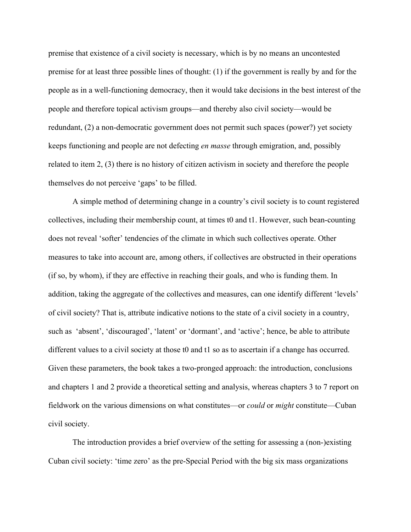premise that existence of a civil society is necessary, which is by no means an uncontested premise for at least three possible lines of thought: (1) if the government is really by and for the people as in a well-functioning democracy, then it would take decisions in the best interest of the people and therefore topical activism groups—and thereby also civil society—would be redundant, (2) a non-democratic government does not permit such spaces (power?) yet society keeps functioning and people are not defecting *en masse* through emigration, and, possibly related to item 2, (3) there is no history of citizen activism in society and therefore the people themselves do not perceive 'gaps' to be filled.

A simple method of determining change in a country's civil society is to count registered collectives, including their membership count, at times t0 and t1. However, such bean-counting does not reveal 'softer' tendencies of the climate in which such collectives operate. Other measures to take into account are, among others, if collectives are obstructed in their operations (if so, by whom), if they are effective in reaching their goals, and who is funding them. In addition, taking the aggregate of the collectives and measures, can one identify different 'levels' of civil society? That is, attribute indicative notions to the state of a civil society in a country, such as 'absent', 'discouraged', 'latent' or 'dormant', and 'active'; hence, be able to attribute different values to a civil society at those t0 and t1 so as to ascertain if a change has occurred. Given these parameters, the book takes a two-pronged approach: the introduction, conclusions and chapters 1 and 2 provide a theoretical setting and analysis, whereas chapters 3 to 7 report on fieldwork on the various dimensions on what constitutes—or *could* or *might* constitute—Cuban civil society.

The introduction provides a brief overview of the setting for assessing a (non-)existing Cuban civil society: 'time zero' as the pre-Special Period with the big six mass organizations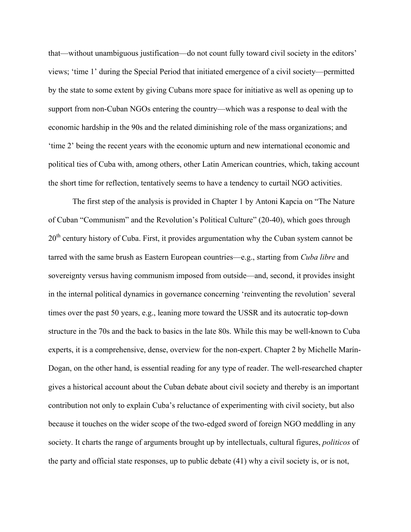that—without unambiguous justification—do not count fully toward civil society in the editors' views; 'time 1' during the Special Period that initiated emergence of a civil society—permitted by the state to some extent by giving Cubans more space for initiative as well as opening up to support from non-Cuban NGOs entering the country—which was a response to deal with the economic hardship in the 90s and the related diminishing role of the mass organizations; and 'time 2' being the recent years with the economic upturn and new international economic and political ties of Cuba with, among others, other Latin American countries, which, taking account the short time for reflection, tentatively seems to have a tendency to curtail NGO activities.

The first step of the analysis is provided in Chapter 1 by Antoni Kapcia on "The Nature of Cuban "Communism" and the Revolution's Political Culture" (20-40), which goes through 20<sup>th</sup> century history of Cuba. First, it provides argumentation why the Cuban system cannot be tarred with the same brush as Eastern European countries—e.g., starting from *Cuba libre* and sovereignty versus having communism imposed from outside—and, second, it provides insight in the internal political dynamics in governance concerning 'reinventing the revolution' several times over the past 50 years, e.g., leaning more toward the USSR and its autocratic top-down structure in the 70s and the back to basics in the late 80s. While this may be well-known to Cuba experts, it is a comprehensive, dense, overview for the non-expert. Chapter 2 by Michelle Marín-Dogan, on the other hand, is essential reading for any type of reader. The well-researched chapter gives a historical account about the Cuban debate about civil society and thereby is an important contribution not only to explain Cuba's reluctance of experimenting with civil society, but also because it touches on the wider scope of the two-edged sword of foreign NGO meddling in any society. It charts the range of arguments brought up by intellectuals, cultural figures, *politicos* of the party and official state responses, up to public debate (41) why a civil society is, or is not,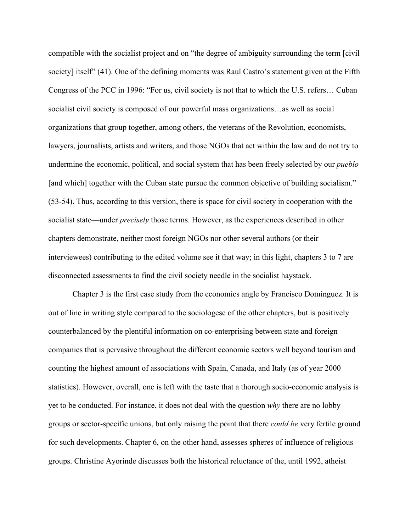compatible with the socialist project and on "the degree of ambiguity surrounding the term [civil society] itself" (41). One of the defining moments was Raul Castro's statement given at the Fifth Congress of the PCC in 1996: "For us, civil society is not that to which the U.S. refers… Cuban socialist civil society is composed of our powerful mass organizations…as well as social organizations that group together, among others, the veterans of the Revolution, economists, lawyers, journalists, artists and writers, and those NGOs that act within the law and do not try to undermine the economic, political, and social system that has been freely selected by our *pueblo* [and which] together with the Cuban state pursue the common objective of building socialism." (53-54). Thus, according to this version, there is space for civil society in cooperation with the socialist state—under *precisely* those terms. However, as the experiences described in other chapters demonstrate, neither most foreign NGOs nor other several authors (or their interviewees) contributing to the edited volume see it that way; in this light, chapters 3 to 7 are disconnected assessments to find the civil society needle in the socialist haystack.

Chapter 3 is the first case study from the economics angle by Francisco Domínguez. It is out of line in writing style compared to the sociologese of the other chapters, but is positively counterbalanced by the plentiful information on co-enterprising between state and foreign companies that is pervasive throughout the different economic sectors well beyond tourism and counting the highest amount of associations with Spain, Canada, and Italy (as of year 2000 statistics). However, overall, one is left with the taste that a thorough socio-economic analysis is yet to be conducted. For instance, it does not deal with the question *why* there are no lobby groups or sector-specific unions, but only raising the point that there *could be* very fertile ground for such developments. Chapter 6, on the other hand, assesses spheres of influence of religious groups. Christine Ayorinde discusses both the historical reluctance of the, until 1992, atheist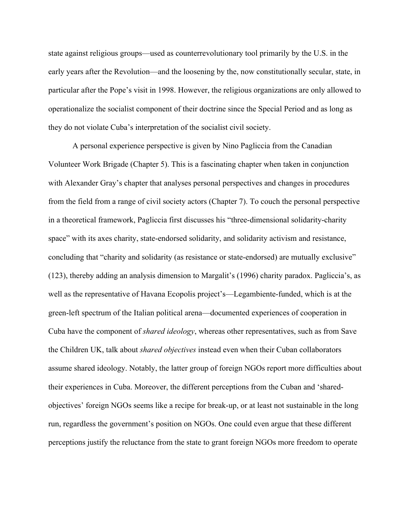state against religious groups—used as counterrevolutionary tool primarily by the U.S. in the early years after the Revolution—and the loosening by the, now constitutionally secular, state, in particular after the Pope's visit in 1998. However, the religious organizations are only allowed to operationalize the socialist component of their doctrine since the Special Period and as long as they do not violate Cuba's interpretation of the socialist civil society.

A personal experience perspective is given by Nino Pagliccia from the Canadian Volunteer Work Brigade (Chapter 5). This is a fascinating chapter when taken in conjunction with Alexander Gray's chapter that analyses personal perspectives and changes in procedures from the field from a range of civil society actors (Chapter 7). To couch the personal perspective in a theoretical framework, Pagliccia first discusses his "three-dimensional solidarity-charity space" with its axes charity, state-endorsed solidarity, and solidarity activism and resistance, concluding that "charity and solidarity (as resistance or state-endorsed) are mutually exclusive" (123), thereby adding an analysis dimension to Margalit's (1996) charity paradox. Pagliccia's, as well as the representative of Havana Ecopolis project's—Legambiente-funded, which is at the green-left spectrum of the Italian political arena—documented experiences of cooperation in Cuba have the component of *shared ideology*, whereas other representatives, such as from Save the Children UK, talk about *shared objectives* instead even when their Cuban collaborators assume shared ideology. Notably, the latter group of foreign NGOs report more difficulties about their experiences in Cuba. Moreover, the different perceptions from the Cuban and 'sharedobjectives' foreign NGOs seems like a recipe for break-up, or at least not sustainable in the long run, regardless the government's position on NGOs. One could even argue that these different perceptions justify the reluctance from the state to grant foreign NGOs more freedom to operate